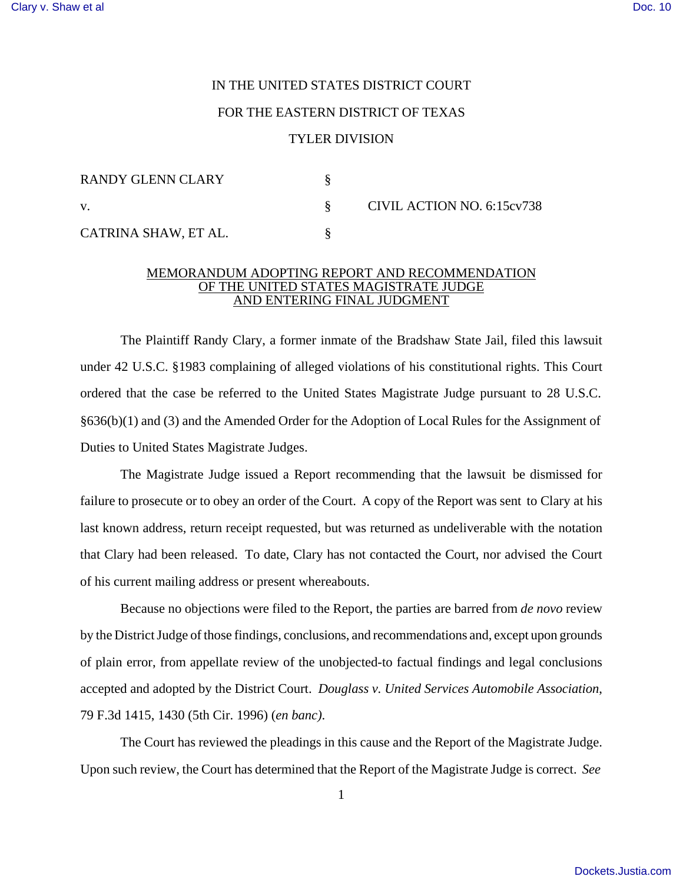## IN THE UNITED STATES DISTRICT COURT FOR THE EASTERN DISTRICT OF TEXAS TYLER DIVISION

| RANDY GLENN CLARY    |                            |
|----------------------|----------------------------|
| V.                   | CIVIL ACTION NO. 6:15cv738 |
| CATRINA SHAW, ET AL. |                            |

## MEMORANDUM ADOPTING REPORT AND RECOMMENDATION OF THE UNITED STATES MAGISTRATE JUDGE AND ENTERING FINAL JUDGMENT

The Plaintiff Randy Clary, a former inmate of the Bradshaw State Jail, filed this lawsuit under 42 U.S.C. §1983 complaining of alleged violations of his constitutional rights. This Court ordered that the case be referred to the United States Magistrate Judge pursuant to 28 U.S.C. §636(b)(1) and (3) and the Amended Order for the Adoption of Local Rules for the Assignment of Duties to United States Magistrate Judges.

The Magistrate Judge issued a Report recommending that the lawsuit be dismissed for failure to prosecute or to obey an order of the Court. A copy of the Report was sent to Clary at his last known address, return receipt requested, but was returned as undeliverable with the notation that Clary had been released. To date, Clary has not contacted the Court, nor advised the Court of his current mailing address or present whereabouts.

Because no objections were filed to the Report, the parties are barred from *de novo* review by the District Judge of those findings, conclusions, and recommendations and, except upon grounds of plain error, from appellate review of the unobjected-to factual findings and legal conclusions accepted and adopted by the District Court. *Douglass v. United Services Automobile Association*, 79 F.3d 1415, 1430 (5th Cir. 1996) (*en banc)*.

The Court has reviewed the pleadings in this cause and the Report of the Magistrate Judge. Upon such review, the Court has determined that the Report of the Magistrate Judge is correct. *See*